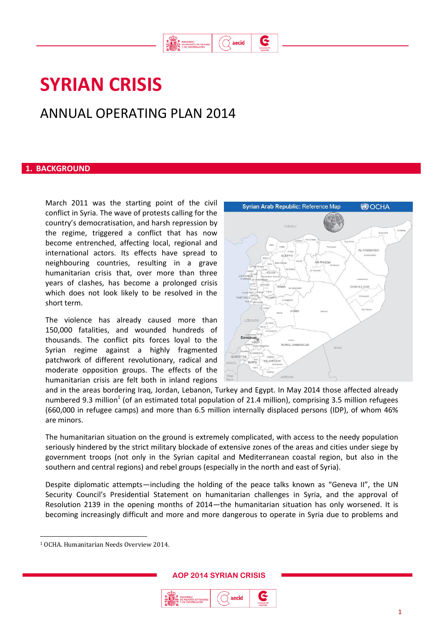

G

# **SYRIAN CRISIS**

# ANNUAL OPERATING PLAN 2014

### **1. BACKGROUND**

March 2011 was the starting point of the civil conflict in Syria. The wave of protests calling for the country's democratisation, and harsh repression by the regime, triggered a conflict that has now become entrenched, affecting local, regional and international actors. Its effects have spread to neighbouring countries, resulting in a grave humanitarian crisis that, over more than three years of clashes, has become a prolonged crisis which does not look likely to be resolved in the short term.

The violence has already caused more than 150,000 fatalities, and wounded hundreds of thousands. The conflict pits forces loyal to the Syrian regime against a highly fragmented patchwork of different revolutionary, radical and moderate opposition groups. The effects of the humanitarian crisis are felt both in inland regions



and in the areas bordering Iraq, Jordan, Lebanon, Turkey and Egypt. In May 2014 those affected already numbered 9.3 million<sup>1</sup> (of an estimated total population of 21.4 million), comprising 3.5 million refugees (660,000 in refugee camps) and more than 6.5 million internally displaced persons (IDP), of whom 46% are minors.

The humanitarian situation on the ground is extremely complicated, with access to the needy population seriously hindered by the strict military blockade of extensive zones of the areas and cities under siege by government troops (not only in the Syrian capital and Mediterranean coastal region, but also in the southern and central regions) and rebel groups (especially in the north and east of Syria).

Despite diplomatic attempts—including the holding of the peace talks known as "Geneva II", the UN Security Council's Presidential Statement on humanitarian challenges in Syria, and the approval of Resolution 2139 in the opening months of 2014—the humanitarian situation has only worsened. It is becoming increasingly difficult and more and more dangerous to operate in Syria due to problems and

 $\overline{a}$ 



<sup>1</sup> OCHA. Humanitarian Needs Overview 2014.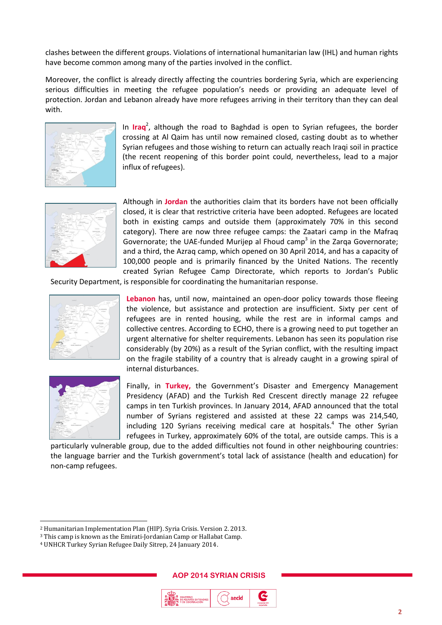clashes between the different groups. Violations of international humanitarian law (IHL) and human rights have become common among many of the parties involved in the conflict.

Moreover, the conflict is already directly affecting the countries bordering Syria, which are experiencing serious difficulties in meeting the refugee population's needs or providing an adequate level of protection. Jordan and Lebanon already have more refugees arriving in their territory than they can deal with.



In **Iraq** 2 , although the road to Baghdad is open to Syrian refugees, the border crossing at Al Qaim has until now remained closed, casting doubt as to whether Syrian refugees and those wishing to return can actually reach Iraqi soil in practice (the recent reopening of this border point could, nevertheless, lead to a major influx of refugees).



Although in **Jordan** the authorities claim that its borders have not been officially closed, it is clear that restrictive criteria have been adopted. Refugees are located both in existing camps and outside them (approximately 70% in this second category). There are now three refugee camps: the Zaatari camp in the Mafraq Governorate; the UAE-funded Murijep al Fhoud camp<sup>3</sup> in the Zarqa Governorate; and a third, the Azraq camp, which opened on 30 April 2014, and has a capacity of 100,000 people and is primarily financed by the United Nations. The recently created Syrian Refugee Camp Directorate, which reports to Jordan's Public

Security Department, is responsible for coordinating the humanitarian response.



**Lebanon** has, until now, maintained an open-door policy towards those fleeing the violence, but assistance and protection are insufficient. Sixty per cent of refugees are in rented housing, while the rest are in informal camps and collective centres. According to ECHO, there is a growing need to put together an urgent alternative for shelter requirements. Lebanon has seen its population rise considerably (by 20%) as a result of the Syrian conflict, with the resulting impact on the fragile stability of a country that is already caught in a growing spiral of internal disturbances.



 $\overline{a}$ 

Finally, in **Turkey,** the Government's Disaster and Emergency Management Presidency (AFAD) and the Turkish Red Crescent directly manage 22 refugee camps in ten Turkish provinces. In January 2014, AFAD announced that the total number of Syrians registered and assisted at these 22 camps was 214,540, including 120 Syrians receiving medical care at hospitals. 4 The other Syrian refugees in Turkey, approximately 60% of the total, are outside camps. This is a

particularly vulnerable group, due to the added difficulties not found in other neighbouring countries: the language barrier and the Turkish government's total lack of assistance (health and education) for non-camp refugees.

<sup>4</sup> UNHCR Turkey Syrian Refugee Daily Sitrep, 24 January 2014.





<sup>2</sup> Humanitarian Implementation Plan (HIP). Syria Crisis. Version 2. 2013.

<sup>3</sup> This camp is known as the Emirati-Jordanian Camp or Hallabat Camp.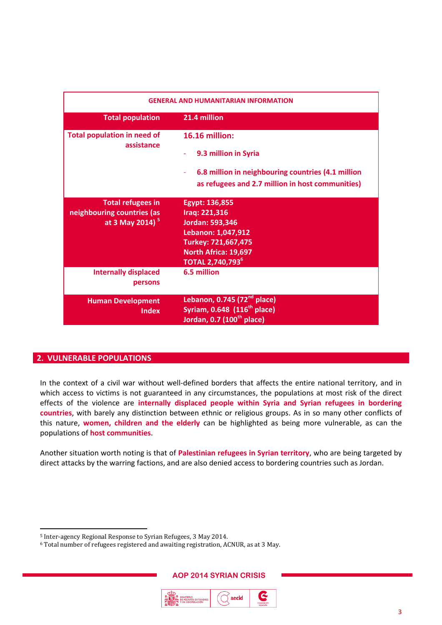| <b>GENERAL AND HUMANITARIAN INFORMATION</b>                                           |                                                                                                                                                                |
|---------------------------------------------------------------------------------------|----------------------------------------------------------------------------------------------------------------------------------------------------------------|
| <b>Total population</b>                                                               | 21.4 million                                                                                                                                                   |
| <b>Total population in need of</b><br>assistance                                      | <b>16.16 million:</b><br>9.3 million in Syria<br>6.8 million in neighbouring countries (4.1 million<br>as refugees and 2.7 million in host communities)        |
| <b>Total refugees in</b><br>neighbouring countries (as<br>at 3 May 2014) <sup>5</sup> | Egypt: 136,855<br>Iraq: 221,316<br>Jordan: 593,346<br>Lebanon: 1,047,912<br>Turkey: 721,667,475<br>North Africa: 19,697<br><b>TOTAL 2,740,793</b> <sup>6</sup> |
| <b>Internally displaced</b><br>persons                                                | 6.5 million                                                                                                                                                    |
| <b>Human Development</b><br>Index                                                     | Lebanon, 0.745 $(72nd$ place)<br>Syriam, 0.648 (116 <sup>th</sup> place)<br>Jordan, 0.7 (100 <sup>th</sup> place)                                              |

# **2. VULNERABLE POPULATIONS**

 $\overline{a}$ 

In the context of a civil war without well-defined borders that affects the entire national territory, and in which access to victims is not guaranteed in any circumstances, the populations at most risk of the direct effects of the violence are **internally displaced people within Syria and Syrian refugees in bordering countries**, with barely any distinction between ethnic or religious groups. As in so many other conflicts of this nature, **women, children and the elderly** can be highlighted as being more vulnerable, as can the populations of **host communities**.

Another situation worth noting is that of **Palestinian refugees in Syrian territory**, who are being targeted by direct attacks by the warring factions, and are also denied access to bordering countries such as Jordan.



<sup>5</sup> Inter-agency Regional Response to Syrian Refugees, 3 May 2014.

<sup>6</sup> Total number of refugees registered and awaiting registration, ACNUR, as at 3 May.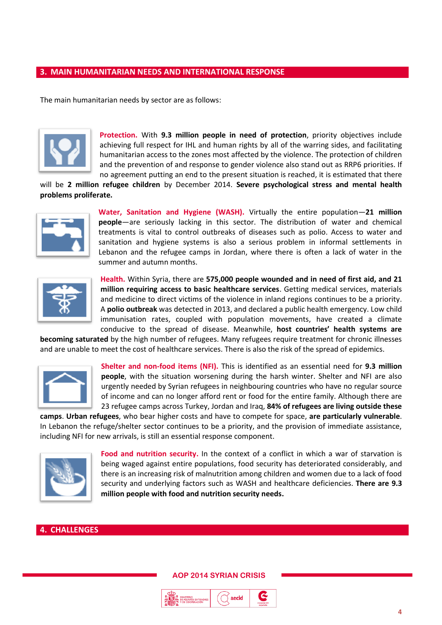## **3. MAIN HUMANITARIAN NEEDS AND INTERNATIONAL RESPONSE**

The main humanitarian needs by sector are as follows:



**Protection.** With **9.3 million people in need of protection**, priority objectives include achieving full respect for IHL and human rights by all of the warring sides, and facilitating humanitarian access to the zones most affected by the violence. The protection of children and the prevention of and response to gender violence also stand out as RRP6 priorities. If no agreement putting an end to the present situation is reached, it is estimated that there

will be **2 million refugee children** by December 2014. **Severe psychological stress and mental health problems proliferate.** 



**Water, Sanitation and Hygiene (WASH).** Virtually the entire population—**21 million people**—are seriously lacking in this sector. The distribution of water and chemical treatments is vital to control outbreaks of diseases such as polio. Access to water and sanitation and hygiene systems is also a serious problem in informal settlements in Lebanon and the refugee camps in Jordan, where there is often a lack of water in the summer and autumn months.



**Health.** Within Syria, there are **575,000 people wounded and in need of first aid, and 21 million requiring access to basic healthcare services**. Getting medical services, materials and medicine to direct victims of the violence in inland regions continues to be a priority. A **polio outbreak** was detected in 2013, and declared a public health emergency. Low child immunisation rates, coupled with population movements, have created a climate conducive to the spread of disease. Meanwhile, **host countries' health systems are** 

**becoming saturated** by the high number of refugees. Many refugees require treatment for chronic illnesses and are unable to meet the cost of healthcare services. There is also the risk of the spread of epidemics.



**Shelter and non-food items (NFI).** This is identified as an essential need for **9.3 million people**, with the situation worsening during the harsh winter. Shelter and NFI are also urgently needed by Syrian refugees in neighbouring countries who have no regular source of income and can no longer afford rent or food for the entire family. Although there are 23 refugee camps across Turkey, Jordan and Iraq, **84% of refugees are living outside these** 

**camps**. **Urban refugees**, who bear higher costs and have to compete for space, **are particularly vulnerable**. In Lebanon the refuge/shelter sector continues to be a priority, and the provision of immediate assistance, including NFI for new arrivals, is still an essential response component.



**Food and nutrition security.** In the context of a conflict in which a war of starvation is being waged against entire populations, food security has deteriorated considerably, and there is an increasing risk of malnutrition among children and women due to a lack of food security and underlying factors such as WASH and healthcare deficiencies. **There are 9.3 million people with food and nutrition security needs.**

### **4. CHALLENGES**

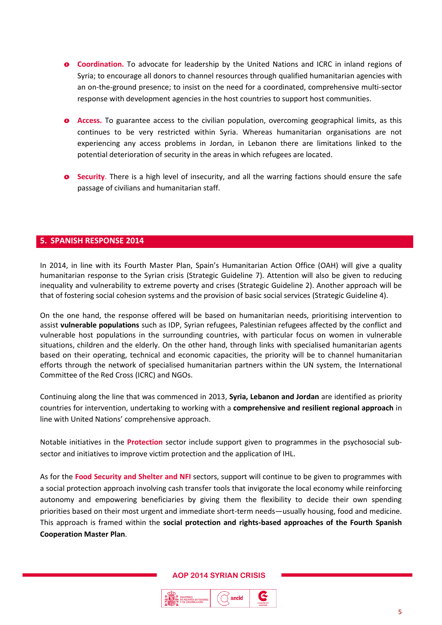- o **Coordination.** To advocate for leadership by the United Nations and ICRC in inland regions of Syria; to encourage all donors to channel resources through qualified humanitarian agencies with an on-the-ground presence; to insist on the need for a coordinated, comprehensive multi-sector response with development agencies in the host countries to support host communities.
- **o** Access. To guarantee access to the civilian population, overcoming geographical limits, as this continues to be very restricted within Syria. Whereas humanitarian organisations are not experiencing any access problems in Jordan, in Lebanon there are limitations linked to the potential deterioration of security in the areas in which refugees are located.
- o **Security**. There is a high level of insecurity, and all the warring factions should ensure the safe passage of civilians and humanitarian staff.

### **5. SPANISH RESPONSE 2014**

In 2014, in line with its Fourth Master Plan, Spain's Humanitarian Action Office (OAH) will give a quality humanitarian response to the Syrian crisis (Strategic Guideline 7). Attention will also be given to reducing inequality and vulnerability to extreme poverty and crises (Strategic Guideline 2). Another approach will be that of fostering social cohesion systems and the provision of basic social services (Strategic Guideline 4).

On the one hand, the response offered will be based on humanitarian needs, prioritising intervention to assist **vulnerable populations** such as IDP, Syrian refugees, Palestinian refugees affected by the conflict and vulnerable host populations in the surrounding countries, with particular focus on women in vulnerable situations, children and the elderly. On the other hand, through links with specialised humanitarian agents based on their operating, technical and economic capacities, the priority will be to channel humanitarian efforts through the network of specialised humanitarian partners within the UN system, the International Committee of the Red Cross (ICRC) and NGOs.

Continuing along the line that was commenced in 2013, **Syria, Lebanon and Jordan** are identified as priority countries for intervention, undertaking to working with a **comprehensive and resilient regional approach** in line with United Nations' comprehensive approach.

Notable initiatives in the **Protection** sector include support given to programmes in the psychosocial subsector and initiatives to improve victim protection and the application of IHL.

As for the **Food Security and Shelter and NFI** sectors, support will continue to be given to programmes with a social protection approach involving cash transfer tools that invigorate the local economy while reinforcing autonomy and empowering beneficiaries by giving them the flexibility to decide their own spending priorities based on their most urgent and immediate short-term needs—usually housing, food and medicine. This approach is framed within the **social protection and rights-based approaches of the Fourth Spanish Cooperation Master Plan**.